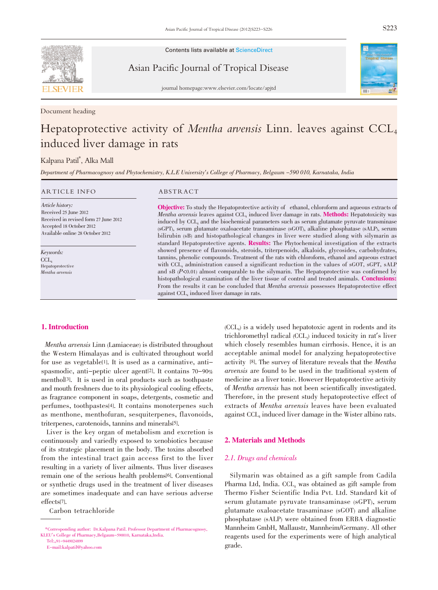

Contents lists available at ScienceDirect

Asian Pacific Journal of Tropical Disease



journal homepage:www.elsevier.com/locate/apjtd

Document heading

# Hepatoprotective activity of Mentha arvensis Linn. leaves against CCL<sub>4</sub> induced liver damage in rats

## Kalpana Patil\* , Alka Mall

Department of Pharmacognosy and Phytochemistry, K.L.E University's College of Pharmacy, Belgaum -590 010, Karnataka, India

#### ARTICLE INFO ABSTRACT

Article history: Received 25 June 2012 Received in revised form 27 June 2012 Accepted 18 October 2012 Available online 28 October 2012

Keywords: CCL<sub>4</sub> Hepatoprotective Mentha arvensis

Objective: To study the Hepatoprotective activity of ethanol, chloroform and aqueous extracts of Mentha arvensis leaves against CCL<sub>4</sub> induced liver damage in rats. **Methods:** Hepatotoxicity was induced by CCL<sub>4</sub> and the biochemical parameters such as serum glutamate pyruvate transminase (sGPT), serum glutamate oxaloacetate transaminase (sGOT), alkaline phosphatase (sALP), serum bilirubin (sB) and histopathological changes in liver were studied along with silymarin as standard Hepatoprotective agents. **Results:** The Phytochemical investigation of the extracts showed presence of flavonoids, steroids, triterpenoids, alkaloids, glycosides, carbohydrates, tannins, phenolic compounds. Treatment of the rats with chloroform, ethanol and aqueous extract with CCL<sub>4</sub> administration caused a significant reduction in the values of sGOT, sGPT, sALP and  $sB$  ( $P<0.01$ ) almost comparable to the silymarin. The Hepatoprotective was confirmed by histopathological examination of the liver tissue of control and treated animals. Conclusions: From the results it can be concluded that *Mentha arvensis* possesses Hepatoprotective effect against CCL<sub>4</sub> induced liver damage in rats.

#### 1. Introduction

Mentha arvensis Linn (Lamiaceae) is distributed throughout the Western Himalayas and is cultivated throughout world for use as vegetable[1]. It is used as a carminative, antispasmodic, anti-peptic ulcer agent[2]. It contains 70-90% menthol[3]. It is used in oral products such as toothpaste and mouth freshners due to its physiological cooling effects, as fragrance component in soaps, detergents, cosmetic and perfumes, toothpastes[4]. It contains monoterpenes such as menthone, menthofuran, sesquiterpenes, flavonoids, triterpenes, carotenoids, tannins and minerals[5].

Liver is the key organ of metabolism and excretion is continuously and variedly exposed to xenobiotics because of its strategic placement in the body. The toxins absorbed from the intestinal tract gain access first to the liver resulting in a variety of liver ailments. Thus liver diseases remain one of the serious health problems[6]. Conventional or synthetic drugs used in the treatment of liver diseases are sometimes inadequate and can have serious adverse effects[7].

Carbon tetrachloride

E-mail:kalpatil@yahoo.com

(CCL4) is a widely used hepatotoxic agent in rodents and its trichloromethyl radical (CCL3) induced toxicity in rat's liver which closely resembles human cirrhosis. Hence, it is an acceptable animal model for analyzing hepatoprotective activity [8]. The survey of literature reveals that the Mentha arvensis are found to be used in the traditional system of medicine as a liver tonic. However Hepatoprotective activity of Mentha arvensis has not been scientifically investigated. Therefore, in the present study hepatoprotective effect of extracts of Mentha arvensis leaves have been evaluated against CCL<sub>4</sub> induced liver damage in the Wister albino rats.

#### 2. Materials and Methods

#### 2.1. Drugs and chemicals

Silymarin was obtained as a gift sample from Cadila Pharma Ltd, India.  $CCL<sub>4</sub>$  was obtained as gift sample from Thermo Fisher Scientific India Pvt. Ltd. Standard kit of serum glutamate pyruvate transaminase (sGPT), serum glutamate oxaloacetate trasaminase (sGOT) and alkaline phosphatase (sALP) were obtained from ERBA diagnostic Mannheim GmbH, Mallaustr, Mannheim/Germany. All other reagents used for the experiments were of high analytical grade.

<sup>\*</sup>Corresponding author: Dr.Kalpana Patil. Professor Department of Pharmacognosy, KLEU's College of Pharmacy,Belgaum-590010, Karnataka,India. Tel:+91-9449024899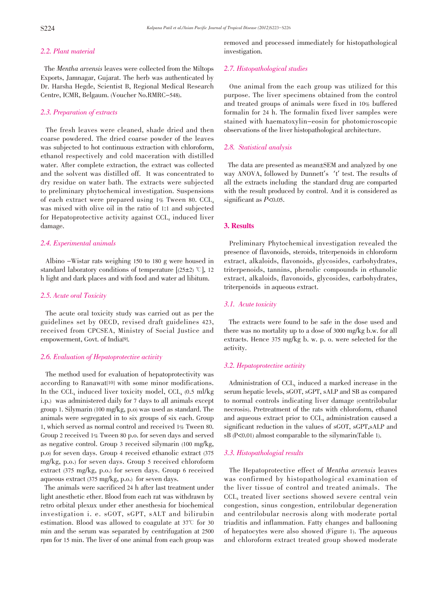### 2.2. Plant material

The Mentha arvensis leaves were collected from the Miltops Exports, Jamnagar, Gujarat. The herb was authenticated by Dr. Harsha Hegde, Scientist B, Regional Medical Research Centre, ICMR, Belgaum. (Voucher No.RMRC-548).

#### 2.3. Preparation of extracts

The fresh leaves were cleaned, shade dried and then coarse powdered. The dried coarse powder of the leaves was subjected to hot continuous extraction with chloroform, ethanol respectively and cold maceration with distilled water. After complete extraction, the extract was collected and the solvent was distilled off. It was concentrated to dry residue on water bath. The extracts were subjected to preliminary phytochemical investigation. Suspensions of each extract were prepared using 1% Tween 80. CCL4 was mixed with olive oil in the ratio of 1:1 and subjected for Hepatoprotective activity against  $CCL<sub>4</sub>$  induced liver damage.

#### 2.4. Experimental animals

Albino -Wistar rats weighing 150 to 180 g were housed in standard laboratory conditions of temperature  $(25\pm2)$  °C], 12 h light and dark places and with food and water ad libitum.

#### 2.5. Acute oral Toxicity

The acute oral toxicity study was carried out as per the guidelines set by OECD, revised draft guidelines 423, received from CPCSEA, Ministry of Social Justice and empowerment, Govt. of India[9].

#### 2.6. Evaluation of Hepatoprotective activity

The method used for evaluation of hepatoprotectivity was according to Ranawat<sup>[10]</sup> with some minor modifications. In the CCL<sub>4</sub> induced liver toxicity model, CCL<sub>4</sub>  $(0.5 \text{ ml/kg})$ i.p.) was administered daily for 7 days to all animals except group 1. Silymarin (100 mg/kg, p.o) was used as standard. The animals were segregated in to six groups of six each. Group 1, which served as normal control and received 1% Tween 80. Group 2 received 1% Tween 80 p.o. for seven days and served as negative control. Group 3 received silymarin (100 mg/kg, p.o) for seven days. Group 4 received ethanolic extract (375 mg/kg, p.o.) for seven days. Group 5 received chloroform extract (375 mg/kg, p.o.) for seven days. Group 6 received aqueous extract (375 mg/kg, p.o.) for seven days.

The animals were sacrificed 24 h after last treatment under light anesthetic ether. Blood from each rat was withdrawn by retro orbital plexux under ether anesthesia for biochemical investigation i. e. sGOT, sGPT, sALT and bilirubin estimation. Blood was allowed to coagulate at  $37^{\circ}$  for 30 min and the serum was separated by centrifugation at 2500 rpm for 15 min. The liver of one animal from each group was removed and processed immediately for histopathological investigation.

#### 2.7. Histopathological studies

One animal from the each group was utilized for this purpose. The liver specimens obtained from the control and treated groups of animals were fixed in 10% buffered formalin for 24 h. The formalin fixed liver samples were stained with haematoxylin-eosin for photomicroscopic observations of the liver histopathological architecture.

#### 2.8. Statistical analysis

The data are presented as mean $\pm$ SEM and analyzed by one way ANOVA, followed by Dunnett's 't' test. The results of all the extracts including the standard drug are comparted with the result produced by control. And it is considered as significant as  $P<sub>0.05</sub>$ .

#### 3. Results

Preliminary Phytochemical investigation revealed the presence of flavonoids, steroids, triterpenoids in chloroform extract, alkaloids, flavonoids, glycosides, carbohydrates, triterpenoids, tannins, phenolic compounds in ethanolic extract, alkaloids, flavonoids, glycosides, carbohydrates, triterpenoids in aqueous extract.

#### 3.1. Acute toxicity

The extracts were found to be safe in the dose used and there was no mortality up to a dose of 3000 mg/kg b.w. for all extracts. Hence 375 mg/kg b. w. p. o. were selected for the activity.

#### 3.2. Hepatoprotective activity

Administration of CCL4 induced a marked increase in the serum hepatic levels, sGOT, sGPT, sALP and SB as compared to normal controls indicating liver damage (centrilobular necrosis). Pretreatment of the rats with chloroform, ethanol and aqueous extract prior to  $CCL<sub>4</sub>$  administration caused a significant reduction in the values of sGOT, sGPT,sALP and sB (P<0.01) almost comparable to the silymarin(Table 1).

#### 3.3. Histopathologial results

The Hepatoprotective effect of Mentha arvensis leaves was confirmed by histopathological examination of the liver tissue of control and treated animals. The CCL4 treated liver sections showed severe central vein congestion, sinus congestion, entrilobular degeneration and centrilobular necrosis along with moderate portal triaditis and inflammation. Fatty changes and ballooning of hepatocytes were also showed (Figure 1). The aqueous and chloroform extract treated group showed moderate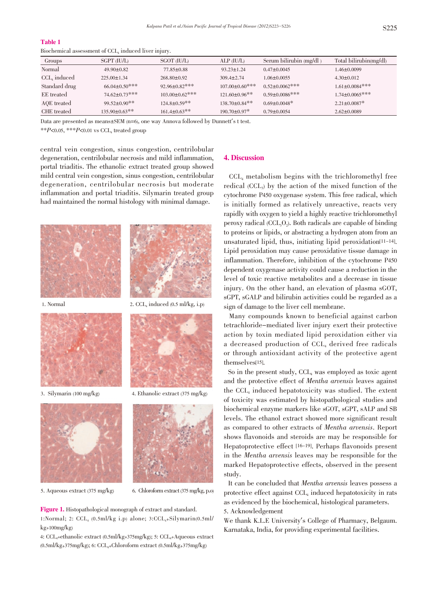#### Table 1

| Biochemical assessment of CCL <sub>4</sub> induced liver injury. |
|------------------------------------------------------------------|
|------------------------------------------------------------------|

| Groups          | $SGPT$ (IU/L)        | $SGOT$ (IU/L)         | $ALP$ (IU/L)                   | Serum bilirubin $(mg/dl)$ | Total bilirubin(mg/dl) |
|-----------------|----------------------|-----------------------|--------------------------------|---------------------------|------------------------|
| Normal          | $49.90 \pm 0.82$     | $77.85 \pm 0.88$      | $93.23 \pm 1.24$               | $0.47 \pm 0.0045$         | 1.46±0.0099            |
| $CCL$ , induced | $225.00 \pm 1.34$    | $268.80 \pm 0.92$     | $309.4 \pm 2.74$               | $1.06 \pm 0.0055$         | $4.30 \pm 0.012$       |
| Standard drug   | $66.04 \pm 0.50$ *** | $92.96 \pm 0.82$ ***  | $107.00 \pm 0.60$ ***          | $0.52 \pm 0.0062$ ***     | $1.61 \pm 0.0084$ ***  |
| EE treated      | 74.62±0.73***        | $103.00 \pm 0.62$ *** | $121.60 \pm 0.96$ **           | $0.59 \pm 0.0086$ ***     | $1.74 \pm 0.0065$ ***  |
| AQE treated     | $99.52 \pm 0.90$ **  | $124.8 \pm 0.59$ **   | $138.70 \pm 0.84$ **           | $0.69 \pm 0.0048$ *       | $2.21 \pm 0.0087$ *    |
| CHE treated     | $135.90 \pm 0.63$ ** | $161.4 \pm 0.63$ **   | $190.70 \pm 0.97$ <sup>*</sup> | $0.79 \pm 0.0054$         | $2.62 \pm 0.0089$      |

Data are presented as means±SEM (n=6), one way Annova followed by Dunnett's t test.

\*\* $P \le 0.05$ , \*\*\* $P \le 0.01$  vs CCL<sub>4</sub> treated group

central vein congestion, sinus congestion, centrilobular degeneration, centrilobular necrosis and mild inflammation, portal triaditis. The ethanolic extract treated group showed mild central vein congestion, sinus congestion, centrilobular degeneration, centrilobular necrosis but moderate inflammation and portal triaditis. Silymarin treated group had maintained the normal histology with minimal damage.





1. Normal 2.  $CCL_4$  induced  $(0.5 \text{ ml/kg}, i.p)$ 



3. Silymarin (100 mg/kg) 4. Ethanolic extract (375 mg/kg)



5. Aqueous extract (375 mg/kg) 6. Chloroform extract (375 mg/kg, p.o)

Figure 1. Histopathological monograph of extract and standard. 1:Normal; 2:  $CCL<sub>4</sub>$  (0.5ml/kg i.p) alone; 3: $CCL<sub>4</sub>+Silymarin(0.5ml/$  $kg+100mg/kg$ 

4: CCL<sub>4</sub>+ethanolic extract (0.5ml/kg+375mg/kg); 5: CCL<sub>4</sub>+Aqueous extract  $(0.5\text{ml/kg} + 375\text{mg/kg})$ ; 6:  $CCL_{4}$ +Chloroform extract  $(0.5\text{ml/kg} + 375\text{mg/kg})$ 

#### 4. Discussion

CCL4 metabolism begins with the trichloromethyl free redical  $(CCL<sub>3</sub>)$  by the action of the mixed function of the cytochrome P450 oxygenase system. This free radical, which is initially formed as relatively unreactive, reacts very rapidly with oxygen to yield a highly reactive trichloromethyl peroxy radical  $(CCL_3O_2)$ . Both radicals are capable of binding to proteins or lipids, or abstracting a hydrogen atom from an unsaturated lipid, thus, initiating lipid peroxidation[11-14]. Lipid peroxidation may cause peroxidative tissue damage in inflammation. Therefore, inhibition of the cytochrome P450 dependent oxygenase activity could cause a reduction in the level of toxic reactive metabolites and a decrease in tissue injury. On the other hand, an elevation of plasma sGOT, sGPT, sGALP and bilirubin activities could be regarded as a sign of damage to the liver cell membrane.

Many compounds known to beneficial against carbon tetrachloride-mediated liver injury exert their protective action by toxin mediated lipid peroxidation either via a decreased production of CCL<sub>4</sub> derived free radicals or through antioxidant activity of the protective agent themselves[15].

So in the present study,  $CCL_4$  was employed as toxic agent and the protective effect of Mentha arvensis leaves against the CCL4 induced hepatotoxicity was studied. The extent of toxicity was estimated by histopathological studies and biochemical enzyme markers like sGOT, sGPT, sALP and SB levels. The ethanol extract showed more significant result as compared to other extracts of Mentha arvensis. Report shows flavonoids and steroids are may be responsible for Hepatoprotective effect [16-19]. Perhaps flavonoids present in the Mentha arvensis leaves may be responsible for the marked Hepatoprotective effects, observed in the present study.

It can be concluded that Mentha arvensis leaves possess a protective effect against CCL<sub>4</sub> induced hepatotoxicity in rats as evidenced by the biochemical, histological parameters. 5. Acknowledgement

We thank K.L.E University's College of Pharmacy, Belgaum. Karnataka, India, for providing experimental facilities.